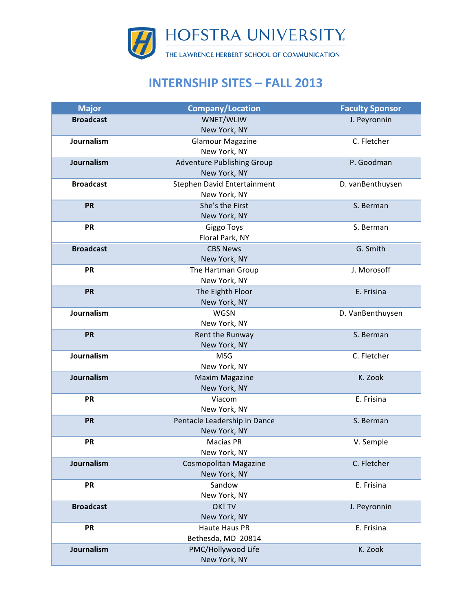

## **INTERNSHIP SITES - FALL 2013**

| <b>Major</b>     | <b>Company/Location</b>                      | <b>Faculty Sponsor</b> |
|------------------|----------------------------------------------|------------------------|
| <b>Broadcast</b> | WNET/WLIW                                    | J. Peyronnin           |
|                  | New York, NY                                 |                        |
| Journalism       | <b>Glamour Magazine</b>                      | C. Fletcher            |
|                  | New York, NY                                 |                        |
| Journalism       | Adventure Publishing Group                   | P. Goodman             |
|                  | New York, NY                                 |                        |
| <b>Broadcast</b> | Stephen David Entertainment                  | D. vanBenthuysen       |
|                  | New York, NY                                 |                        |
| <b>PR</b>        | She's the First                              | S. Berman              |
|                  | New York, NY                                 |                        |
| PR               | Giggo Toys                                   | S. Berman              |
|                  | Floral Park, NY                              |                        |
| <b>Broadcast</b> | <b>CBS News</b>                              | G. Smith               |
|                  | New York, NY                                 |                        |
| <b>PR</b>        | The Hartman Group                            | J. Morosoff            |
|                  | New York, NY                                 |                        |
| <b>PR</b>        | The Eighth Floor                             | E. Frisina             |
|                  | New York, NY                                 |                        |
| Journalism       | <b>WGSN</b>                                  | D. VanBenthuysen       |
|                  | New York, NY                                 |                        |
| <b>PR</b>        | Rent the Runway                              | S. Berman              |
|                  | New York, NY                                 |                        |
| Journalism       | <b>MSG</b>                                   | C. Fletcher            |
|                  | New York, NY                                 |                        |
| Journalism       | <b>Maxim Magazine</b>                        | K. Zook                |
|                  | New York, NY                                 |                        |
| PR               | Viacom                                       | E. Frisina             |
|                  | New York, NY                                 |                        |
| <b>PR</b>        | Pentacle Leadership in Dance<br>New York, NY | S. Berman              |
| PR               | Macias PR                                    | V. Semple              |
|                  | New York, NY                                 |                        |
| Journalism       | <b>Cosmopolitan Magazine</b>                 | C. Fletcher            |
|                  | New York, NY                                 |                        |
| <b>PR</b>        | Sandow                                       | E. Frisina             |
|                  | New York, NY                                 |                        |
| <b>Broadcast</b> | OK! TV                                       | J. Peyronnin           |
|                  | New York, NY                                 |                        |
| PR               | <b>Haute Haus PR</b>                         | E. Frisina             |
|                  | Bethesda, MD 20814                           |                        |
| Journalism       | PMC/Hollywood Life                           | K. Zook                |
|                  | New York, NY                                 |                        |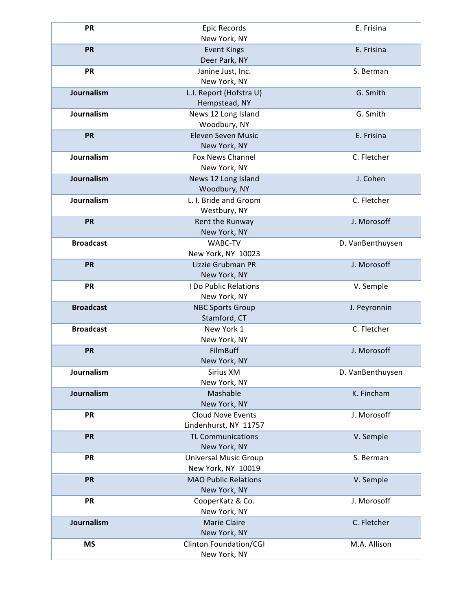| <b>PR</b>        | <b>Epic Records</b>                   | E. Frisina       |
|------------------|---------------------------------------|------------------|
|                  | New York, NY                          |                  |
| <b>PR</b>        | <b>Event Kings</b><br>Deer Park, NY   | E. Frisina       |
| <b>PR</b>        | Janine Just, Inc.                     | S. Berman        |
|                  | New York, NY                          |                  |
| Journalism       | L.I. Report (Hofstra U)               | G. Smith         |
|                  | Hempstead, NY                         |                  |
| Journalism       | News 12 Long Island                   | G. Smith         |
|                  | Woodbury, NY                          |                  |
| <b>PR</b>        | Eleven Seven Music                    | E. Frisina       |
|                  | New York, NY                          |                  |
| Journalism       | Fox News Channel                      | C. Fletcher      |
|                  | New York, NY                          |                  |
| Journalism       | News 12 Long Island                   | J. Cohen         |
|                  | Woodbury, NY                          |                  |
| Journalism       | L. I. Bride and Groom                 | C. Fletcher      |
|                  | Westbury, NY                          |                  |
| <b>PR</b>        | Rent the Runway                       | J. Morosoff      |
|                  | New York, NY                          |                  |
| <b>Broadcast</b> | WABC-TV                               | D. VanBenthuysen |
|                  | New York, NY 10023                    |                  |
| <b>PR</b>        | Lizzie Grubman PR                     | J. Morosoff      |
| <b>PR</b>        | New York, NY<br>I Do Public Relations |                  |
|                  | New York, NY                          | V. Semple        |
| <b>Broadcast</b> | <b>NBC Sports Group</b>               | J. Peyronnin     |
|                  | Stamford, CT                          |                  |
| <b>Broadcast</b> | New York 1                            | C. Fletcher      |
|                  | New York, NY                          |                  |
| PR               | <b>FilmBuff</b>                       | J. Morosoff      |
|                  | New York, NY                          |                  |
| Journalism       | Sirius XM                             | D. VanBenthuysen |
|                  | New York, NY                          |                  |
| Journalism       | Mashable                              | K. Fincham       |
|                  | New York, NY                          |                  |
| <b>PR</b>        | <b>Cloud Nove Events</b>              | J. Morosoff      |
|                  | Lindenhurst, NY 11757                 |                  |
| <b>PR</b>        | <b>TL Communications</b>              | V. Semple        |
|                  | New York, NY                          |                  |
| PR               | <b>Universal Music Group</b>          | S. Berman        |
|                  | New York, NY 10019                    |                  |
| <b>PR</b>        | <b>MAO Public Relations</b>           | V. Semple        |
|                  | New York, NY                          |                  |
| PR               | CooperKatz & Co.                      | J. Morosoff      |
|                  | New York, NY                          |                  |
| Journalism       | <b>Marie Claire</b><br>New York, NY   | C. Fletcher      |
| <b>MS</b>        | Clinton Foundation/CGI                | M.A. Allison     |
|                  | New York, NY                          |                  |
|                  |                                       |                  |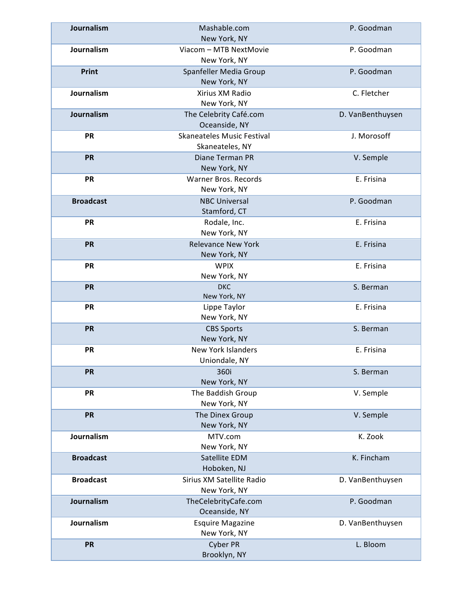| Journalism       | Mashable.com<br>New York, NY                         | P. Goodman       |
|------------------|------------------------------------------------------|------------------|
| Journalism       | Viacom - MTB NextMovie<br>New York, NY               | P. Goodman       |
| <b>Print</b>     | Spanfeller Media Group<br>New York, NY               | P. Goodman       |
| Journalism       | Xirius XM Radio<br>New York, NY                      | C. Fletcher      |
| Journalism       | The Celebrity Café.com<br>Oceanside, NY              | D. VanBenthuysen |
| PR               | <b>Skaneateles Music Festival</b><br>Skaneateles, NY | J. Morosoff      |
| <b>PR</b>        | Diane Terman PR<br>New York, NY                      | V. Semple        |
| <b>PR</b>        | Warner Bros. Records<br>New York, NY                 | E. Frisina       |
| <b>Broadcast</b> | <b>NBC Universal</b><br>Stamford, CT                 | P. Goodman       |
| <b>PR</b>        | Rodale, Inc.<br>New York, NY                         | E. Frisina       |
| <b>PR</b>        | <b>Relevance New York</b><br>New York, NY            | E. Frisina       |
| <b>PR</b>        | <b>WPIX</b><br>New York, NY                          | E. Frisina       |
| <b>PR</b>        | <b>DKC</b><br>New York, NY                           | S. Berman        |
| <b>PR</b>        | Lippe Taylor<br>New York, NY                         | E. Frisina       |
| <b>PR</b>        | <b>CBS Sports</b><br>New York, NY                    | S. Berman        |
| <b>PR</b>        | <b>New York Islanders</b><br>Uniondale, NY           | E. Frisina       |
| PR               | 360i<br>New York, NY                                 | S. Berman        |
| <b>PR</b>        | The Baddish Group<br>New York, NY                    | V. Semple        |
| PR               | The Dinex Group<br>New York, NY                      | V. Semple        |
| Journalism       | MTV.com<br>New York, NY                              | K. Zook          |
| <b>Broadcast</b> | Satellite EDM<br>Hoboken, NJ                         | K. Fincham       |
| <b>Broadcast</b> | Sirius XM Satellite Radio<br>New York, NY            | D. VanBenthuysen |
| Journalism       | TheCelebrityCafe.com<br>Oceanside, NY                | P. Goodman       |
| Journalism       | <b>Esquire Magazine</b><br>New York, NY              | D. VanBenthuysen |
| PR               | <b>Cyber PR</b><br>Brooklyn, NY                      | L. Bloom         |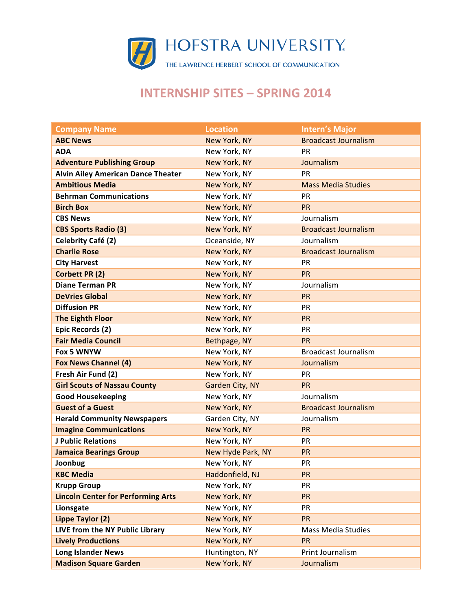

## **INTERNSHIP SITES - SPRING 2014**

| <b>Company Name</b>                       | <b>Location</b>   | <b>Intern's Major</b>       |
|-------------------------------------------|-------------------|-----------------------------|
| <b>ABC News</b>                           | New York, NY      | <b>Broadcast Journalism</b> |
| <b>ADA</b>                                | New York, NY      | PR                          |
| <b>Adventure Publishing Group</b>         | New York, NY      | Journalism                  |
| <b>Alvin Ailey American Dance Theater</b> | New York, NY      | PR.                         |
| <b>Ambitious Media</b>                    | New York, NY      | <b>Mass Media Studies</b>   |
| <b>Behrman Communications</b>             | New York, NY      | PR                          |
| <b>Birch Box</b>                          | New York, NY      | <b>PR</b>                   |
| <b>CBS News</b>                           | New York, NY      | Journalism                  |
| <b>CBS Sports Radio (3)</b>               | New York, NY      | <b>Broadcast Journalism</b> |
| Celebrity Café (2)                        | Oceanside, NY     | Journalism                  |
| <b>Charlie Rose</b>                       | New York, NY      | <b>Broadcast Journalism</b> |
| <b>City Harvest</b>                       | New York, NY      | PR                          |
| Corbett PR (2)                            | New York, NY      | PR                          |
| <b>Diane Terman PR</b>                    | New York, NY      | Journalism                  |
| <b>DeVries Global</b>                     | New York, NY      | PR                          |
| <b>Diffusion PR</b>                       | New York, NY      | PR                          |
| <b>The Eighth Floor</b>                   | New York, NY      | PR                          |
| Epic Records (2)                          | New York, NY      | PR                          |
| <b>Fair Media Council</b>                 | Bethpage, NY      | <b>PR</b>                   |
| Fox 5 WNYW                                | New York, NY      | <b>Broadcast Journalism</b> |
| <b>Fox News Channel (4)</b>               | New York, NY      | Journalism                  |
| Fresh Air Fund (2)                        | New York, NY      | PR                          |
| <b>Girl Scouts of Nassau County</b>       | Garden City, NY   | PR                          |
| <b>Good Housekeeping</b>                  | New York, NY      | Journalism                  |
| <b>Guest of a Guest</b>                   | New York, NY      | <b>Broadcast Journalism</b> |
| <b>Herald Community Newspapers</b>        | Garden City, NY   | Journalism                  |
| <b>Imagine Communications</b>             | New York, NY      | <b>PR</b>                   |
| <b>J Public Relations</b>                 | New York, NY      | PR                          |
| <b>Jamaica Bearings Group</b>             | New Hyde Park, NY | PR                          |
| Joonbug                                   | New York, NY      | PR                          |
| <b>KBC Media</b>                          | Haddonfield, NJ   | <b>PR</b>                   |
| <b>Krupp Group</b>                        | New York, NY      | PR                          |
| <b>Lincoln Center for Performing Arts</b> | New York, NY      | PR                          |
| Lionsgate                                 | New York, NY      | PR                          |
| Lippe Taylor (2)                          | New York, NY      | PR                          |
| LIVE from the NY Public Library           | New York, NY      | <b>Mass Media Studies</b>   |
| <b>Lively Productions</b>                 | New York, NY      | PR                          |
| <b>Long Islander News</b>                 | Huntington, NY    | Print Journalism            |
| <b>Madison Square Garden</b>              | New York, NY      | Journalism                  |